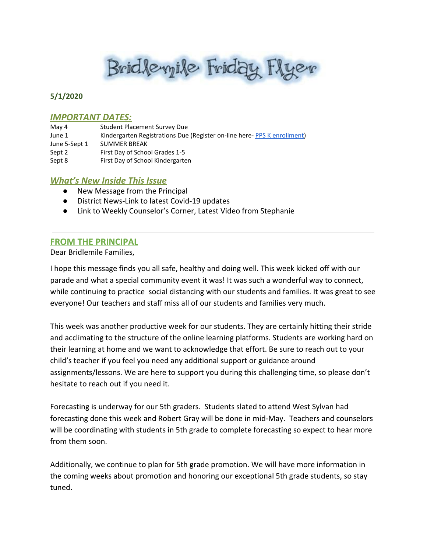Brid levyile Friday Flyer

# **5/1/2020**

### **IMPORTANT DATES:**

| May 4         | Student Placement Survey Due                                            |
|---------------|-------------------------------------------------------------------------|
| June 1        | Kindergarten Registrations Due (Register on-line here-PPS K enrollment) |
| June 5-Sept 1 | <b>SUMMER BREAK</b>                                                     |
| Sept 2        | First Day of School Grades 1-5                                          |
| Sept 8        | First Day of School Kindergarten                                        |

# *What's New Inside This Issue*

- New Message from the Principal
- District News-Link to latest Covid-19 updates
- Link to Weekly Counselor's Corner, Latest Video from Stephanie

# **FROM THE PRINCIPAL**

Dear Bridlemile Families,

I hope this message finds you all safe, healthy and doing well. This week kicked off with our parade and what a special community event it was! It was such a wonderful way to connect, while continuing to practice social distancing with our students and families. It was great to see everyone! Our teachers and staff miss all of our students and families very much.

This week was another productive week for our students. They are certainly hitting their stride and acclimating to the structure of the online learning platforms. Students are working hard on their learning at home and we want to acknowledge that effort. Be sure to reach out to your child's teacher if you feel you need any additional support or guidance around assignments/lessons. We are here to support you during this challenging time, so please don't hesitate to reach out if you need it.

Forecasting is underway for our 5th graders. Students slated to attend West Sylvan had forecasting done this week and Robert Gray will be done in mid-May. Teachers and counselors will be coordinating with students in 5th grade to complete forecasting so expect to hear more from them soon.

Additionally, we continue to plan for 5th grade promotion. We will have more information in the coming weeks about promotion and honoring our exceptional 5th grade students, so stay tuned.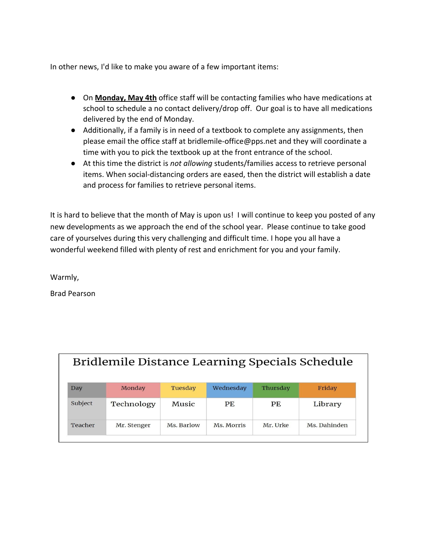In other news, I'd like to make you aware of a few important items:

- On **Monday, May 4th** office staff will be contacting families who have medications at school to schedule a no contact delivery/drop off. Our goal is to have all medications delivered by the end of Monday.
- Additionally, if a family is in need of a textbook to complete any assignments, then please email the office staff at bridlemile-office@pps.net and they will coordinate a time with you to pick the textbook up at the front entrance of the school.
- At this time the district is *not allowing* students/families access to retrieve personal items. When social-distancing orders are eased, then the district will establish a date and process for families to retrieve personal items.

It is hard to believe that the month of May is upon us! I will continue to keep you posted of any new developments as we approach the end of the school year. Please continue to take good care of yourselves during this very challenging and difficult time. I hope you all have a wonderful weekend filled with plenty of rest and enrichment for you and your family.

Warmly,

Brad Pearson

| Bridlemile Distance Learning Specials Schedule |             |            |            |          |              |  |  |
|------------------------------------------------|-------------|------------|------------|----------|--------------|--|--|
| Day                                            | Monday      | Tuesday    | Wednesday  | Thursday | Friday       |  |  |
| Subject                                        | Technology  | Music      | PF.        | PE.      | Library      |  |  |
| Teacher                                        | Mr. Stenger | Ms. Barlow | Ms. Morris | Mr. Urke | Ms. Dahinden |  |  |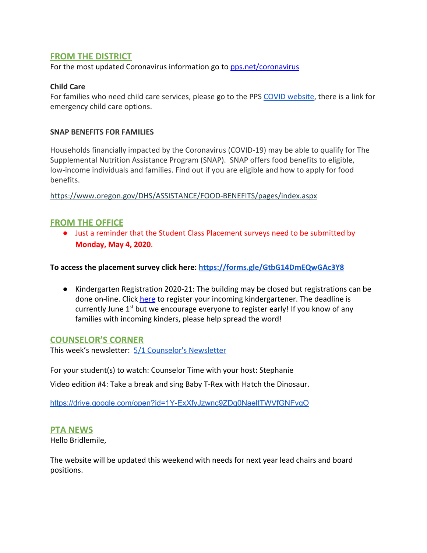# **FROM THE DISTRICT**

For the most updated Coronavirus information go to [pps.net/coronavirus](http://track.spe.schoolmessenger.com/f/a/oZfGYFGWlPSuz04Ea4-9gA~~/AAAAAQA~/RgRgZlDRP0QfaHR0cHM6Ly93d3cucHBzLm5ldC9jb3JvbmF2aXJ1c1cHc2Nob29sbUIKAABRHYVennNdt1IURnJlY2tsZTFAY29tY2FzdC5uZXRYBAAAAAE~)

### **Child Care**

For families who need child care services, please go to the PPS [COVID website,](https://www.pps.net/coronavirus) there is a link for emergency child care options.

#### **SNAP BENEFITS FOR FAMILIES**

Households financially impacted by the Coronavirus (COVID-19) may be able to qualify for The Supplemental Nutrition Assistance Program (SNAP). SNAP offers food benefits to eligible, low-income individuals and families. Find out if you are eligible and how to apply for food benefits.

<https://www.oregon.gov/DHS/ASSISTANCE/FOOD-BENEFITS/pages/index.aspx>

# **FROM THE OFFICE**

● Just a reminder that the Student Class Placement surveys need to be submitted by **Monday, May 4, 2020**.

### **To access the placement survey click here: <https://forms.gle/GtbG14DmEQwGAc3Y8>**

● Kindergarten Registration 2020-21: The building may be closed but registrations can be done on-line. Click [here](https://www.pps.net/Page/2899) to register your incoming kindergartener. The deadline is currently June  $1^{st}$  but we encourage everyone to register early! If you know of any families with incoming kinders, please help spread the word!

### **COUNSELOR'S CORNER**

This week's newsletter: [5/1 Counselor's Newsletter](https://drive.google.com/file/d/1X_a45zyfcl2oCFKBPzPSxCpZZLXlJNRD/view?usp=sharing)

For your student(s) to watch: Counselor Time with your host: Stephanie

Video edition #4: Take a break and sing Baby T-Rex with Hatch the Dinosaur.

<https://drive.google.com/open?id=1Y-ExXfyJzwnc9ZDq0NaeltTWVfGNFvqO>

### **PTA NEWS**

Hello Bridlemile,

The website will be updated this weekend with needs for next year lead chairs and board positions.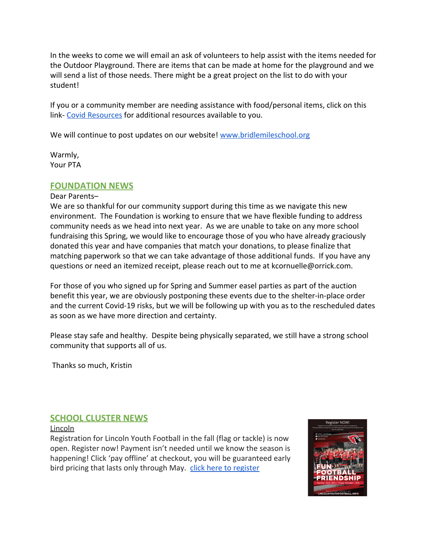In the weeks to come we will email an ask of volunteers to help assist with the items needed for the Outdoor Playground. There are items that can be made at home for the playground and we will send a list of those needs. There might be a great project on the list to do with your student!

If you or a community member are needing assistance with food/personal items, click on this link- [Covid Resources](https://drive.google.com/file/d/1JfPAhSCg3JPFRGRDofY_1dgcG0hsceKr/view) for additional resources available to you.

We will continue to post updates on our website! [www.bridlemileschool.org](http://www.bridlemileschool.org/)

Warmly, Your PTA

# **FOUNDATION NEWS**

#### Dear Parents–

We are so thankful for our community support during this time as we navigate this new environment. The Foundation is working to ensure that we have flexible funding to address community needs as we head into next year. As we are unable to take on any more school fundraising this Spring, we would like to encourage those of you who have already graciously donated this year and have companies that match your donations, to please finalize that matching paperwork so that we can take advantage of those additional funds. If you have any questions or need an itemized receipt, please reach out to me at kcornuelle@orrick.com.

For those of you who signed up for Spring and Summer easel parties as part of the auction benefit this year, we are obviously postponing these events due to the shelter-in-place order and the current Covid-19 risks, but we will be following up with you as to the rescheduled dates as soon as we have more direction and certainty.

Please stay safe and healthy. Despite being physically separated, we still have a strong school community that supports all of us.

Thanks so much, Kristin

# **SCHOOL CLUSTER NEWS**

#### Lincoln

Registration for Lincoln Youth Football in the fall (flag or tackle) is now open. Register now! Payment isn't needed until we know the season is happening! Click 'pay offline' at checkout, you will be guaranteed early bird pricing that lasts only through May. [click here to register](https://www.lincolnyouthfootball.info/)